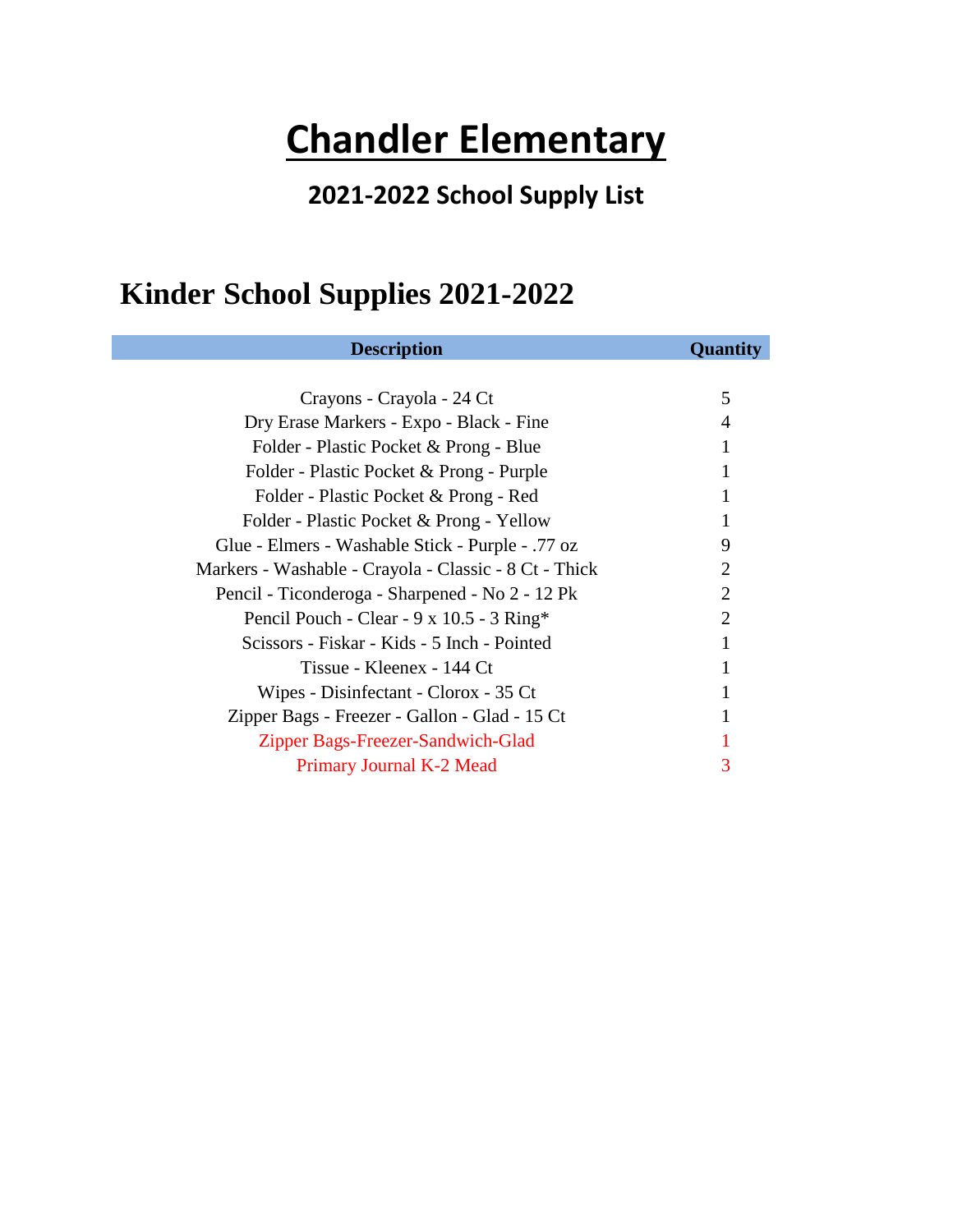# **Chandler Elementary**

#### **2021-2022 School Supply List**

#### **Kinder School Supplies 2021-2022**

| <b>Description</b>                                    | Quantity              |
|-------------------------------------------------------|-----------------------|
|                                                       |                       |
| Crayons - Crayola - 24 Ct                             | 5                     |
| Dry Erase Markers - Expo - Black - Fine               | 4                     |
| Folder - Plastic Pocket & Prong - Blue                |                       |
| Folder - Plastic Pocket & Prong - Purple              | 1                     |
| Folder - Plastic Pocket & Prong - Red                 |                       |
| Folder - Plastic Pocket & Prong - Yellow              |                       |
| Glue - Elmers - Washable Stick - Purple - .77 oz      | 9                     |
| Markers - Washable - Crayola - Classic - 8 Ct - Thick | $\mathcal{D}_{\cdot}$ |
| Pencil - Ticonderoga - Sharpened - No 2 - 12 Pk       | $\overline{2}$        |
| Pencil Pouch - Clear - 9 x 10.5 - 3 Ring*             | $\overline{2}$        |
| Scissors - Fiskar - Kids - 5 Inch - Pointed           | 1                     |
| Tissue - Kleenex - 144 Ct                             | 1                     |
| Wipes - Disinfectant - Clorox - 35 Ct                 |                       |
| Zipper Bags - Freezer - Gallon - Glad - 15 Ct         |                       |
| Zipper Bags-Freezer-Sandwich-Glad                     |                       |
| Primary Journal K-2 Mead                              |                       |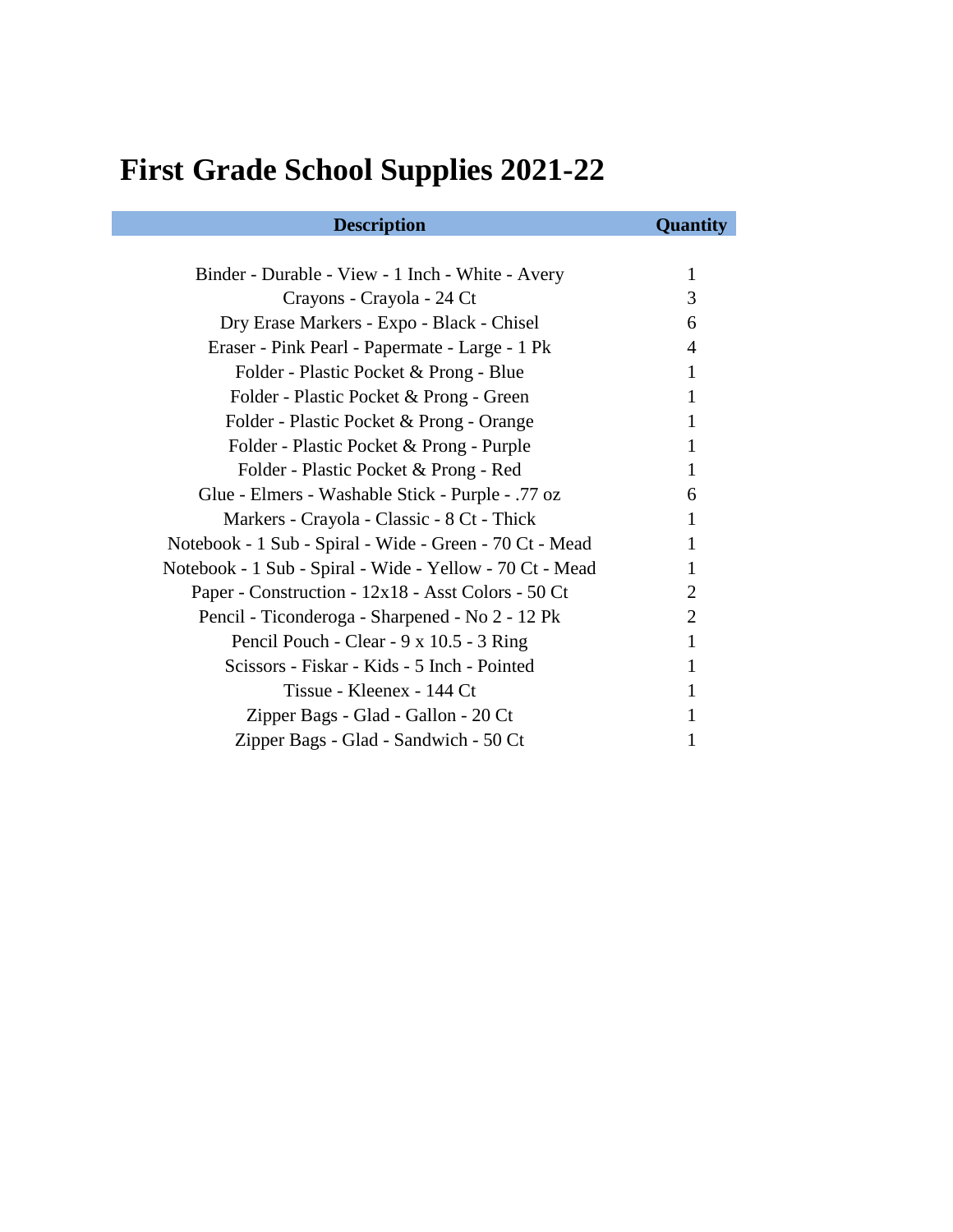## **First Grade School Supplies 2021-22**

| <b>Description</b>                                       | Quantity       |
|----------------------------------------------------------|----------------|
|                                                          |                |
| Binder - Durable - View - 1 Inch - White - Avery         | 1              |
| Crayons - Crayola - 24 Ct                                | 3              |
| Dry Erase Markers - Expo - Black - Chisel                | 6              |
| Eraser - Pink Pearl - Papermate - Large - 1 Pk           | 4              |
| Folder - Plastic Pocket & Prong - Blue                   | 1              |
| Folder - Plastic Pocket & Prong - Green                  | 1              |
| Folder - Plastic Pocket & Prong - Orange                 | 1              |
| Folder - Plastic Pocket & Prong - Purple                 | 1              |
| Folder - Plastic Pocket & Prong - Red                    | 1              |
| Glue - Elmers - Washable Stick - Purple - .77 oz         | 6              |
| Markers - Crayola - Classic - 8 Ct - Thick               | 1              |
| Notebook - 1 Sub - Spiral - Wide - Green - 70 Ct - Mead  | 1              |
| Notebook - 1 Sub - Spiral - Wide - Yellow - 70 Ct - Mead | 1              |
| Paper - Construction - 12x18 - Asst Colors - 50 Ct       | 2              |
| Pencil - Ticonderoga - Sharpened - No 2 - 12 Pk          | $\overline{2}$ |
| Pencil Pouch - Clear - 9 x 10.5 - 3 Ring                 | 1              |
| Scissors - Fiskar - Kids - 5 Inch - Pointed              | 1              |
| Tissue - Kleenex - 144 Ct                                |                |
| Zipper Bags - Glad - Gallon - 20 Ct                      |                |
| Zipper Bags - Glad - Sandwich - 50 Ct                    |                |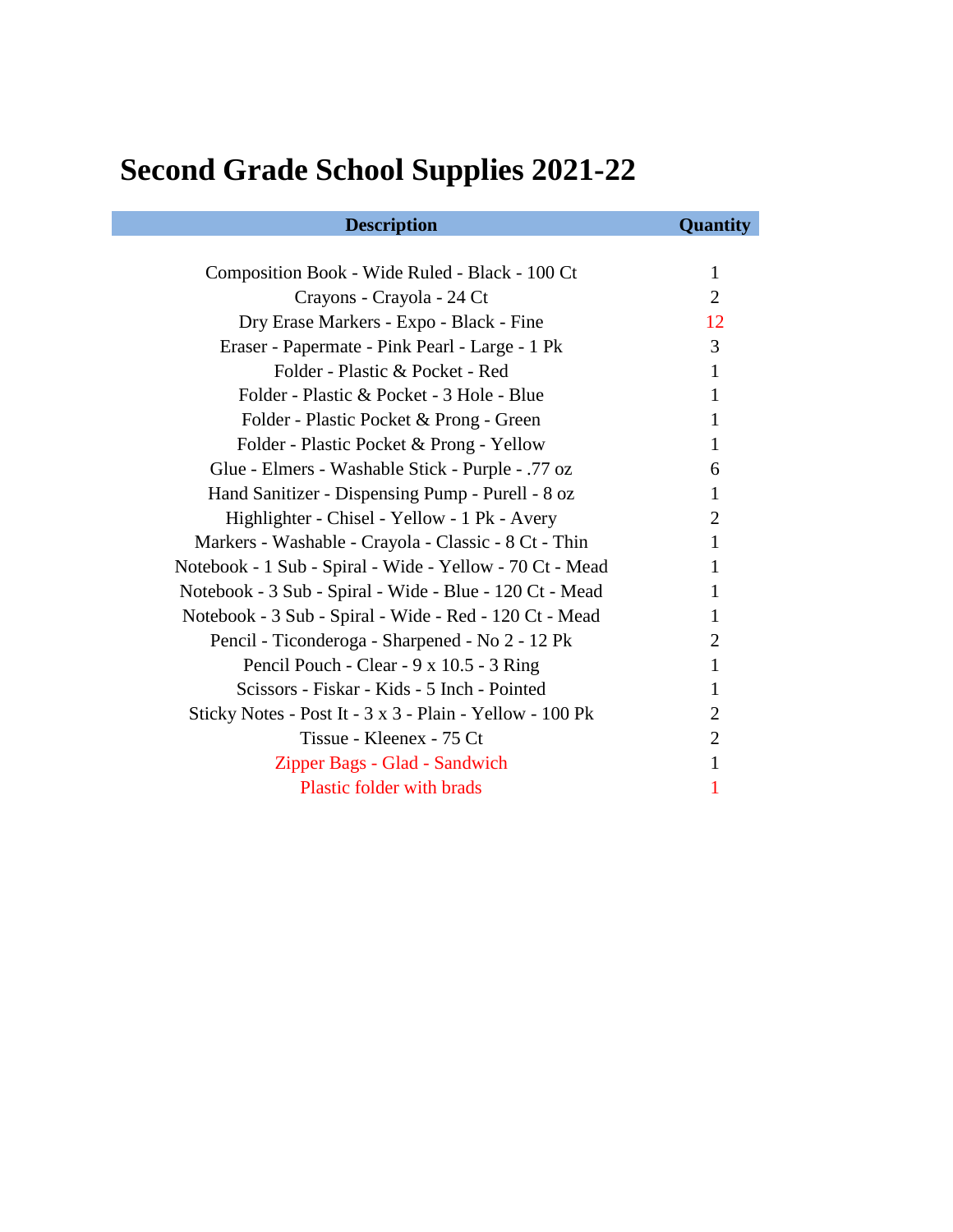## **Second Grade School Supplies 2021-22**

| <b>Description</b>                                       | <b>Quantity</b> |
|----------------------------------------------------------|-----------------|
|                                                          |                 |
| Composition Book - Wide Ruled - Black - 100 Ct           | $\mathbf{1}$    |
| Crayons - Crayola - 24 Ct                                | 2               |
| Dry Erase Markers - Expo - Black - Fine                  | 12              |
| Eraser - Papermate - Pink Pearl - Large - 1 Pk           | 3               |
| Folder - Plastic & Pocket - Red                          | $\mathbf{1}$    |
| Folder - Plastic & Pocket - 3 Hole - Blue                | 1               |
| Folder - Plastic Pocket & Prong - Green                  | 1               |
| Folder - Plastic Pocket & Prong - Yellow                 | 1               |
| Glue - Elmers - Washable Stick - Purple - .77 oz         | 6               |
| Hand Sanitizer - Dispensing Pump - Purell - 8 oz         | 1               |
| Highlighter - Chisel - Yellow - 1 Pk - Avery             | 2               |
| Markers - Washable - Crayola - Classic - 8 Ct - Thin     | 1               |
| Notebook - 1 Sub - Spiral - Wide - Yellow - 70 Ct - Mead | 1               |
| Notebook - 3 Sub - Spiral - Wide - Blue - 120 Ct - Mead  | 1               |
| Notebook - 3 Sub - Spiral - Wide - Red - 120 Ct - Mead   | 1               |
| Pencil - Ticonderoga - Sharpened - No 2 - 12 Pk          | 2               |
| Pencil Pouch - Clear - 9 x 10.5 - 3 Ring                 | 1               |
| Scissors - Fiskar - Kids - 5 Inch - Pointed              | 1               |
| Sticky Notes - Post It - 3 x 3 - Plain - Yellow - 100 Pk | 2               |
| Tissue - Kleenex - 75 Ct                                 | 2               |
| Zipper Bags - Glad - Sandwich                            | 1               |
| Plastic folder with brads                                | 1               |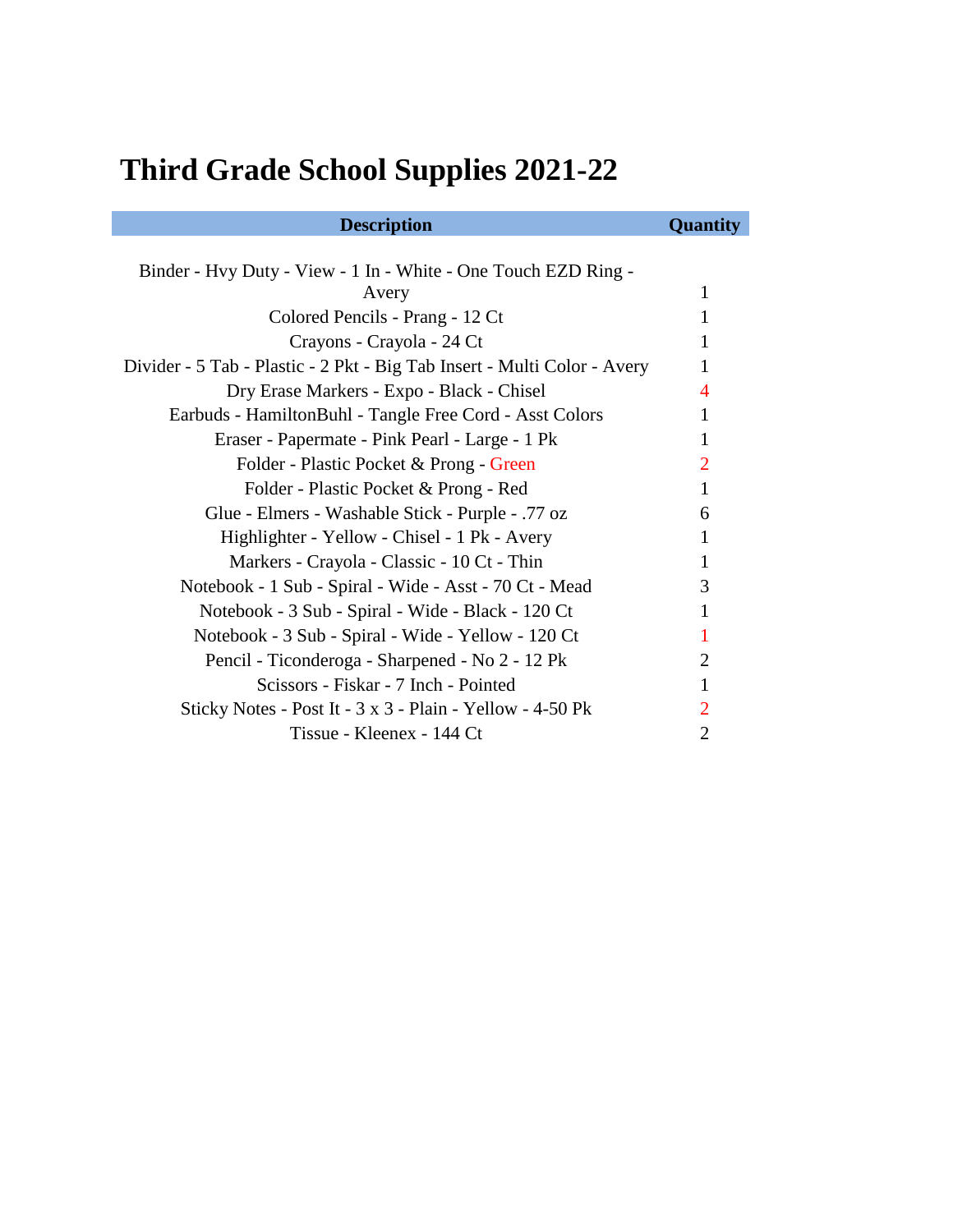## **Third Grade School Supplies 2021-22**

| <b>Description</b>                                                       | Quantity       |
|--------------------------------------------------------------------------|----------------|
|                                                                          |                |
| Binder - Hvy Duty - View - 1 In - White - One Touch EZD Ring -           |                |
| Avery                                                                    | 1              |
| Colored Pencils - Prang - 12 Ct                                          | 1              |
| Crayons - Crayola - 24 Ct                                                | 1              |
| Divider - 5 Tab - Plastic - 2 Pkt - Big Tab Insert - Multi Color - Avery | 1              |
| Dry Erase Markers - Expo - Black - Chisel                                | $\overline{4}$ |
| Earbuds - HamiltonBuhl - Tangle Free Cord - Asst Colors                  | 1              |
| Eraser - Papermate - Pink Pearl - Large - 1 Pk                           | 1              |
| Folder - Plastic Pocket & Prong - Green                                  | $\overline{2}$ |
| Folder - Plastic Pocket & Prong - Red                                    | 1              |
| Glue - Elmers - Washable Stick - Purple - .77 oz                         | 6              |
| Highlighter - Yellow - Chisel - 1 Pk - Avery                             | 1              |
| Markers - Crayola - Classic - 10 Ct - Thin                               | 1              |
| Notebook - 1 Sub - Spiral - Wide - Asst - 70 Ct - Mead                   | 3              |
| Notebook - 3 Sub - Spiral - Wide - Black - 120 Ct                        | 1              |
| Notebook - 3 Sub - Spiral - Wide - Yellow - 120 Ct                       | 1              |
| Pencil - Ticonderoga - Sharpened - No 2 - 12 Pk                          | 2              |
| Scissors - Fiskar - 7 Inch - Pointed                                     | 1              |
| Sticky Notes - Post It - 3 x 3 - Plain - Yellow - 4-50 Pk                | $\overline{2}$ |
| Tissue - Kleenex - 144 Ct                                                | $\overline{2}$ |
|                                                                          |                |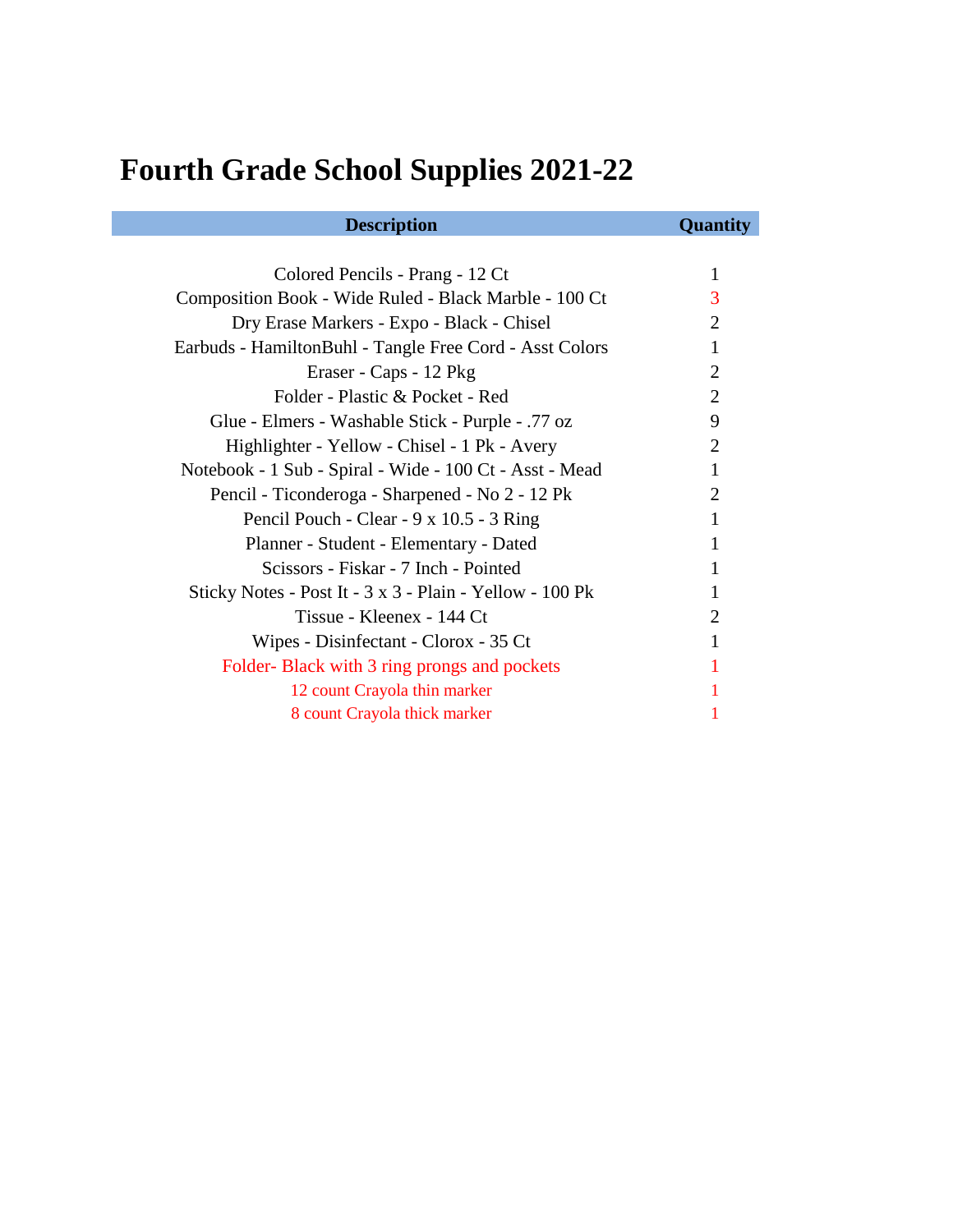## **Fourth Grade School Supplies 2021-22**

| <b>Description</b>                                       | <b>Quantity</b> |
|----------------------------------------------------------|-----------------|
|                                                          |                 |
| Colored Pencils - Prang - 12 Ct                          | 1               |
| Composition Book - Wide Ruled - Black Marble - 100 Ct    | 3               |
| Dry Erase Markers - Expo - Black - Chisel                | 2               |
| Earbuds - HamiltonBuhl - Tangle Free Cord - Asst Colors  | 1               |
| Eraser - Caps - 12 Pkg                                   | 2               |
| Folder - Plastic & Pocket - Red                          | 2               |
| Glue - Elmers - Washable Stick - Purple - .77 oz         | 9               |
| Highlighter - Yellow - Chisel - 1 Pk - Avery             | 2               |
| Notebook - 1 Sub - Spiral - Wide - 100 Ct - Asst - Mead  | 1               |
| Pencil - Ticonderoga - Sharpened - No 2 - 12 Pk          | 2               |
| Pencil Pouch - Clear - 9 x 10.5 - 3 Ring                 | 1               |
| Planner - Student - Elementary - Dated                   | 1               |
| Scissors - Fiskar - 7 Inch - Pointed                     | 1               |
| Sticky Notes - Post It - 3 x 3 - Plain - Yellow - 100 Pk |                 |
| Tissue - Kleenex - 144 Ct                                | 2               |
| Wipes - Disinfectant - Clorox - 35 Ct                    | 1               |
| Folder-Black with 3 ring prongs and pockets              |                 |
| 12 count Crayola thin marker                             |                 |
| 8 count Crayola thick marker                             |                 |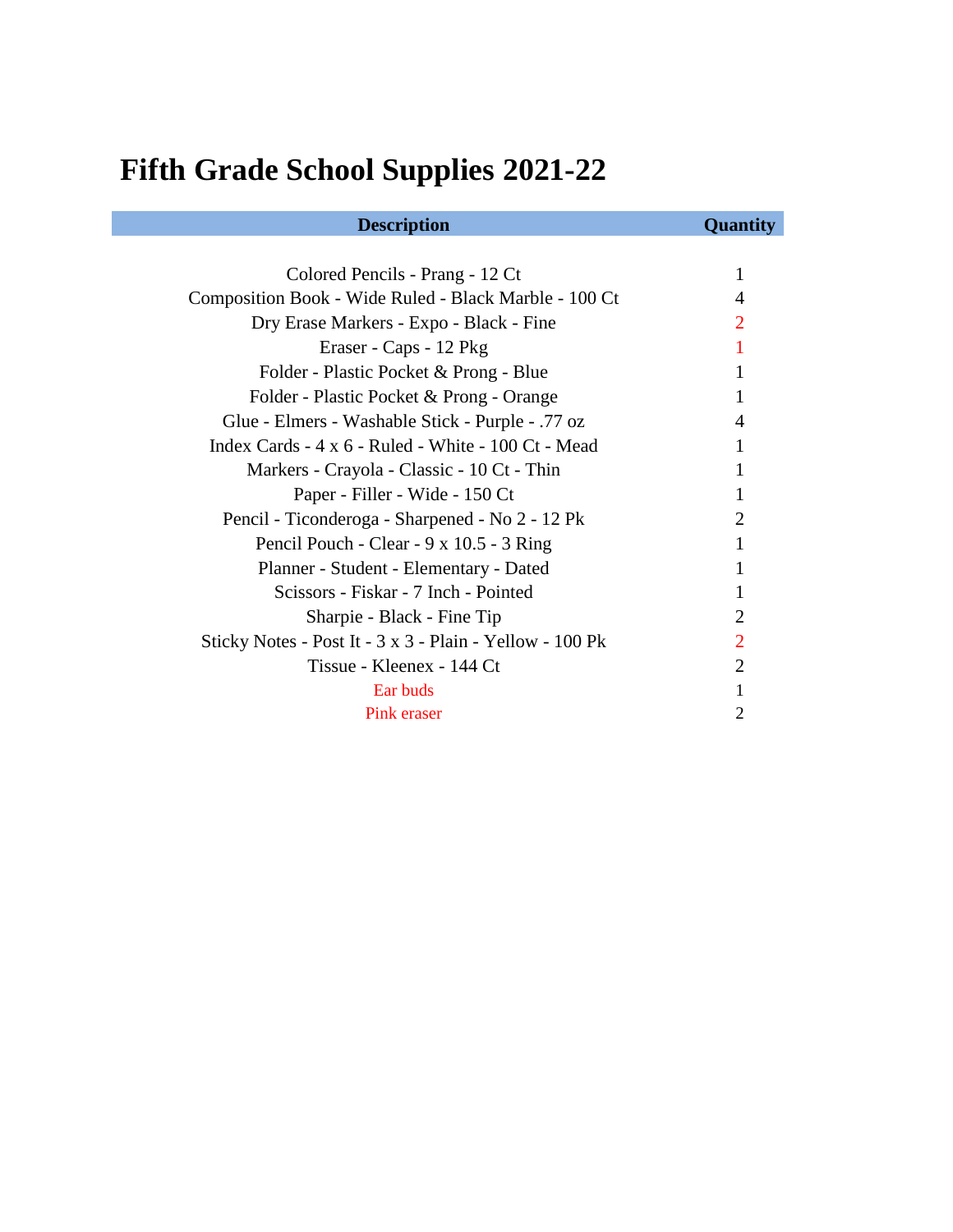## **Fifth Grade School Supplies 2021-22**

| <b>Description</b>                                       | <b>Quantity</b>       |
|----------------------------------------------------------|-----------------------|
|                                                          |                       |
| Colored Pencils - Prang - 12 Ct                          | 1                     |
| Composition Book - Wide Ruled - Black Marble - 100 Ct    | 4                     |
| Dry Erase Markers - Expo - Black - Fine                  |                       |
| Eraser - Caps - 12 Pkg                                   |                       |
| Folder - Plastic Pocket & Prong - Blue                   | 1                     |
| Folder - Plastic Pocket & Prong - Orange                 |                       |
| Glue - Elmers - Washable Stick - Purple - .77 oz         | 4                     |
| Index Cards - 4 x 6 - Ruled - White - 100 Ct - Mead      | 1                     |
| Markers - Crayola - Classic - 10 Ct - Thin               | 1                     |
| Paper - Filler - Wide - 150 Ct                           | 1                     |
| Pencil - Ticonderoga - Sharpened - No 2 - 12 Pk          | $\mathcal{D}_{\cdot}$ |
| Pencil Pouch - Clear - 9 x 10.5 - 3 Ring                 | 1                     |
| Planner - Student - Elementary - Dated                   |                       |
| Scissors - Fiskar - 7 Inch - Pointed                     |                       |
| Sharpie - Black - Fine Tip                               | 2                     |
| Sticky Notes - Post It - 3 x 3 - Plain - Yellow - 100 Pk | $\mathcal{D}_{\cdot}$ |
| Tissue - Kleenex - 144 Ct                                | $\mathcal{D}_{\cdot}$ |
| Ear buds                                                 | 1                     |
| Pink eraser                                              | 2                     |